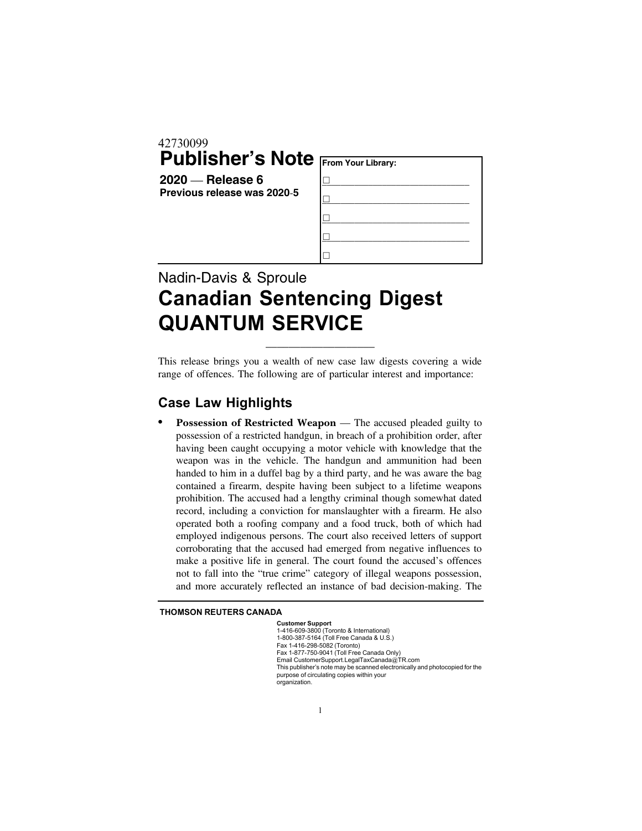## 42730099 **Publisher's Note**

**2020** — **Release 6 Previous release was 2020**-**5**

| From Your Library: |  |
|--------------------|--|
|                    |  |
|                    |  |
|                    |  |
|                    |  |
|                    |  |

## Nadin-Davis & Sproule Canadian Sentencing Digest QUANTUM SERVICE

This release brings you a wealth of new case law digests covering a wide range of offences. The following are of particular interest and importance:

\_\_\_\_\_\_\_\_\_\_\_\_\_\_\_\_\_\_\_

## Case Law Highlights

**Possession of Restricted Weapon** — The accused pleaded guilty to possession of a restricted handgun, in breach of a prohibition order, after having been caught occupying a motor vehicle with knowledge that the weapon was in the vehicle. The handgun and ammunition had been handed to him in a duffel bag by a third party, and he was aware the bag contained a firearm, despite having been subject to a lifetime weapons prohibition. The accused had a lengthy criminal though somewhat dated record, including a conviction for manslaughter with a firearm. He also operated both a roofing company and a food truck, both of which had employed indigenous persons. The court also received letters of support corroborating that the accused had emerged from negative influences to make a positive life in general. The court found the accused's offences not to fall into the "true crime" category of illegal weapons possession, and more accurately reflected an instance of bad decision-making. The

## THOMSON REUTERS CANADA

Customer Support 1-416-609-3800 (Toronto & International) 1-800-387-5164 (Toll Free Canada & U.S.) Fax 1-416-298-5082 (Toronto) Fax 1-877-750-9041 (Toll Free Canada Only) Email CustomerSupport.LegalTaxCanada@TR.com This publisher's note may be scanned electronically and photocopied for the purpose of circulating copies within your organization.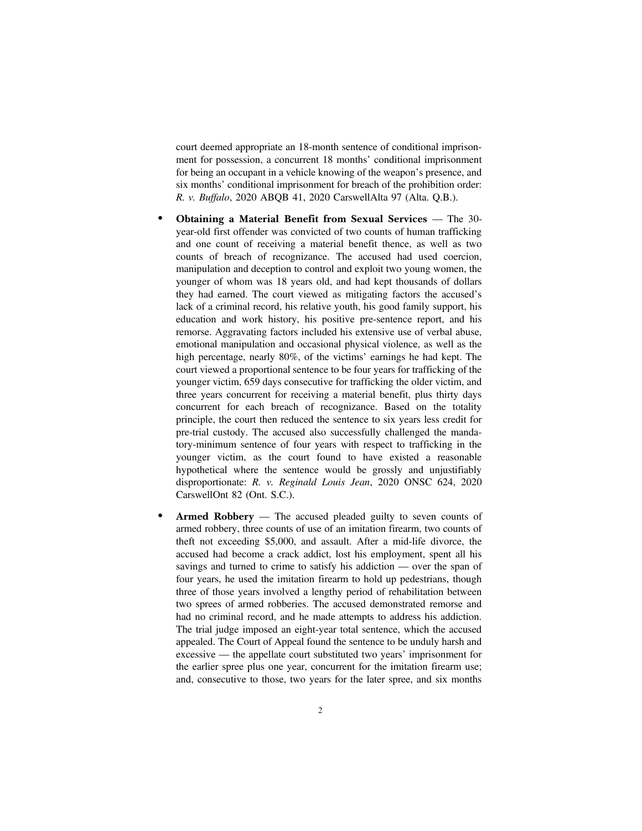court deemed appropriate an 18-month sentence of conditional imprisonment for possession, a concurrent 18 months' conditional imprisonment for being an occupant in a vehicle knowing of the weapon's presence, and six months' conditional imprisonment for breach of the prohibition order: *R. v. Buffalo*, 2020 ABQB 41, 2020 CarswellAlta 97 (Alta. Q.B.).

- . **Obtaining a Material Benefit from Sexual Services** The 30 year-old first offender was convicted of two counts of human trafficking and one count of receiving a material benefit thence, as well as two counts of breach of recognizance. The accused had used coercion, manipulation and deception to control and exploit two young women, the younger of whom was 18 years old, and had kept thousands of dollars they had earned. The court viewed as mitigating factors the accused's lack of a criminal record, his relative youth, his good family support, his education and work history, his positive pre-sentence report, and his remorse. Aggravating factors included his extensive use of verbal abuse, emotional manipulation and occasional physical violence, as well as the high percentage, nearly 80%, of the victims' earnings he had kept. The court viewed a proportional sentence to be four years for trafficking of the younger victim, 659 days consecutive for trafficking the older victim, and three years concurrent for receiving a material benefit, plus thirty days concurrent for each breach of recognizance. Based on the totality principle, the court then reduced the sentence to six years less credit for pre-trial custody. The accused also successfully challenged the mandatory-minimum sentence of four years with respect to trafficking in the younger victim, as the court found to have existed a reasonable hypothetical where the sentence would be grossly and unjustifiably disproportionate: *R. v. Reginald Louis Jean*, 2020 ONSC 624, 2020 CarswellOnt 82 (Ont. S.C.).
- Armed Robbery The accused pleaded guilty to seven counts of armed robbery, three counts of use of an imitation firearm, two counts of theft not exceeding \$5,000, and assault. After a mid-life divorce, the accused had become a crack addict, lost his employment, spent all his savings and turned to crime to satisfy his addiction — over the span of four years, he used the imitation firearm to hold up pedestrians, though three of those years involved a lengthy period of rehabilitation between two sprees of armed robberies. The accused demonstrated remorse and had no criminal record, and he made attempts to address his addiction. The trial judge imposed an eight-year total sentence, which the accused appealed. The Court of Appeal found the sentence to be unduly harsh and excessive — the appellate court substituted two years' imprisonment for the earlier spree plus one year, concurrent for the imitation firearm use; and, consecutive to those, two years for the later spree, and six months